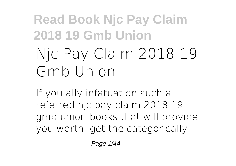# **Njc Pay Claim 2018 19 Gmb Union**

If you ally infatuation such a referred **njc pay claim 2018 19 gmb union** books that will provide you worth, get the categorically

Page 1/44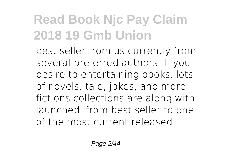best seller from us currently from several preferred authors. If you desire to entertaining books, lots of novels, tale, jokes, and more fictions collections are along with launched, from best seller to one of the most current released.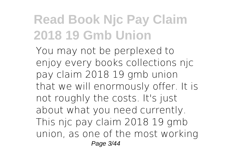You may not be perplexed to enjoy every books collections njc pay claim 2018 19 gmb union that we will enormously offer. It is not roughly the costs. It's just about what you need currently. This njc pay claim 2018 19 gmb union, as one of the most working Page 3/44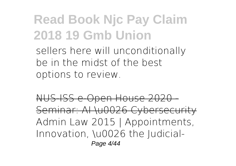sellers here will unconditionally be in the midst of the best options to review.

NUS-ISS e-Open House 2020 - Seminar: AI \u0026 Cybersecurity *Admin Law 2015 | Appointments, Innovation, \u0026 the Judicial-*Page 4/44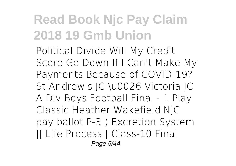*Political Divide Will My Credit Score Go Down If I Can't Make My Payments Because of COVID-19? St Andrew's JC \u0026 Victoria JC A Div Boys Football Final - 1 Play Classic Heather Wakefield NJC pay ballot* P-3 ) Excretion System || Life Process | Class-10 *Final* Page 5/44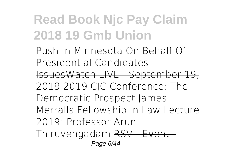*Push In Minnesota On Behalf Of Presidential Candidates* IssuesWatch LIVE | September 19, 2019 2019 CIC Conference: The Democratic Prospect **James Merralls Fellowship in Law Lecture 2019: Professor Arun** Thiruvengadam RSV Event Page 6/44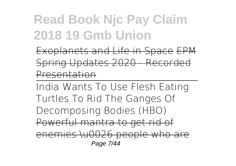Exoplanets and Life in Space EPM Spring Updates 2020 - Recorded Presentation

India Wants To Use Flesh Eating Turtles To Rid The Ganges Of Decomposing Bodies (HBO) Powerful mantra to get rid of enemies \u0026 people who are Page 7/44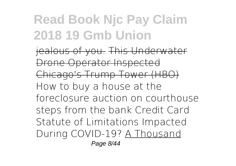jealous of you. This Underwater Drone Operator Inspected Chicago's Trump Tower (HBO) *How to buy a house at the foreclosure auction on courthouse steps from the bank Credit Card Statute of Limitations Impacted During COVID-19?* A Thousand Page 8/44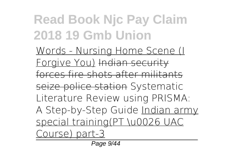Words - Nursing Home Scene (I Forgive You) Indian security forces fire shots after militants seize police station Systematic Literature Review using PRISMA: A Step-by-Step Guide Indian army special training(PT \u0026 UAC Course) part-3

Page 9/44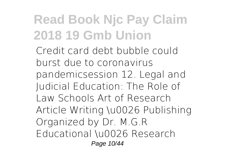Credit card debt bubble could burst due to coronavirus pandemic*session 12. Legal and Judicial Education: The Role of Law Schools* Art of Research Article Writing \u0026 Publishing Organized by Dr. M.G.R Educational \u0026 Research Page 10/44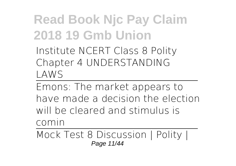Institute NCERT Class 8 Polity Chapter 4 UNDERSTANDING LAWS

Emons: The market appears to have made a decision the election will be cleared and stimulus is comin

Mock Test 8 Discussion | Polity | Page 11/44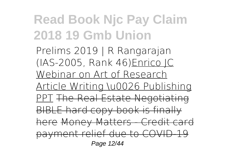Prelims 2019 | R Rangarajan (IAS-2005, Rank 46)Enrico JC Webinar on Art of Research Article Writing \u0026 Publishing PPT The Real Estate Negotiating BIBLE hard copy book is finally here Money Matters - Credit card payment relief due to COVID-19 Page 12/44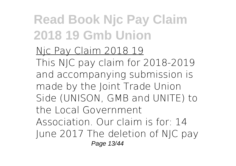Njc Pay Claim 2018 19 This NJC pay claim for 2018-2019 and accompanying submission is made by the Joint Trade Union Side (UNISON, GMB and UNITE) to the Local Government Association. Our claim is for: 14 June 2017 The deletion of NJC pay Page 13/44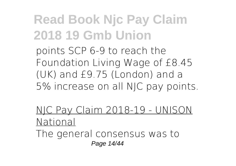points SCP 6-9 to reach the Foundation Living Wage of £8.45 (UK) and £9.75 (London) and a 5% increase on all NJC pay points.

NJC Pay Claim 2018-19 - UNISON National

The general consensus was to Page 14/44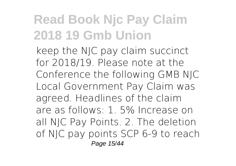keep the NJC pay claim succinct for 2018/19. Please note at the Conference the following GMB NJC Local Government Pay Claim was agreed. Headlines of the claim are as follows: 1. 5% Increase on all NJC Pay Points. 2. The deletion of NJC pay points SCP 6-9 to reach Page 15/44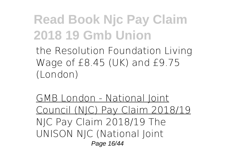the Resolution Foundation Living Wage of £8.45 (UK) and £9.75 (London)

GMB London - National Joint Council (NJC) Pay Claim 2018/19 NJC Pay Claim 2018/19 The UNISON NJC (National Joint Page 16/44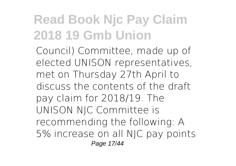Council) Committee, made up of elected UNISON representatives, met on Thursday 27th April to discuss the contents of the draft pay claim for 2018/19. The UNISON NJC Committee is recommending the following: A 5% increase on all NJC pay points Page 17/44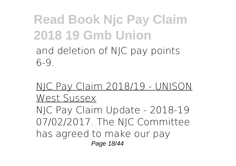#### **Read Book Njc Pay Claim 2018 19 Gmb Union** and deletion of NJC pay points 6-9.

NJC Pay Claim 2018/19 - UNISON West Sussex NJC Pay Claim Update - 2018-19 07/02/2017. The NJC Committee has agreed to make our pay Page 18/44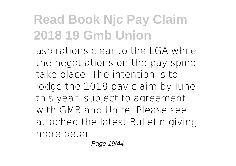aspirations clear to the LGA while the negotiations on the pay spine take place. The intention is to lodge the 2018 pay claim by June this year, subject to agreement with GMB and Unite. Please see attached the latest Bulletin giving more detail.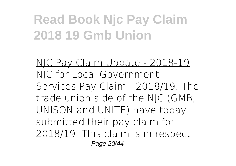NJC Pay Claim Update - 2018-19 NJC for Local Government Services Pay Claim - 2018/19. The trade union side of the NJC (GMB, UNISON and UNITE) have today submitted their pay claim for 2018/19. This claim is in respect Page 20/44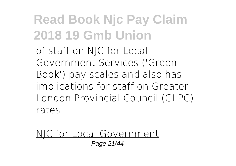of staff on NJC for Local Government Services ('Green Book') pay scales and also has implications for staff on Greater London Provincial Council (GLPC) rates.

NJC for Local Government Page 21/44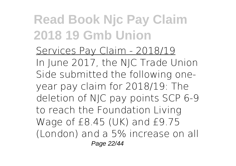Services Pay Claim - 2018/19 In June 2017, the NJC Trade Union Side submitted the following oneyear pay claim for 2018/19: The deletion of NJC pay points SCP 6-9 to reach the Foundation Living Wage of £8.45 (UK) and £9.75 (London) and a 5% increase on all Page 22/44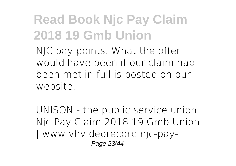NJC pay points. What the offer would have been if our claim had been met in full is posted on our website.

UNISON - the public service union Njc Pay Claim 2018 19 Gmb Union | www.vhvideorecord njc-pay-Page 23/44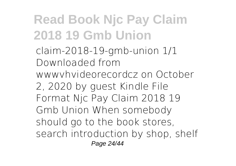claim-2018-19-gmb-union 1/1 Downloaded from wwwvhvideorecordcz on October 2, 2020 by guest Kindle File Format Njc Pay Claim 2018 19 Gmb Union When somebody should go to the book stores, search introduction by shop, shelf Page 24/44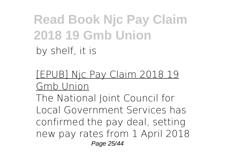#### **Read Book Njc Pay Claim 2018 19 Gmb Union** by shelf, it is

[EPUB] Njc Pay Claim 2018 19 Gmb Union

The National Joint Council for Local Government Services has confirmed the pay deal, setting new pay rates from 1 April 2018 Page 25/44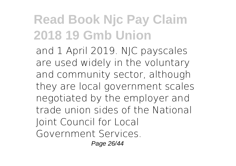and 1 April 2019. NJC payscales are used widely in the voluntary and community sector, although they are local government scales negotiated by the employer and trade union sides of the National Joint Council for Local Government Services. Page 26/44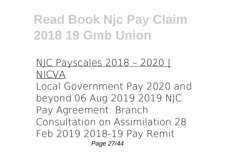NJC Payscales 2018 – 2020 | NICVA

Local Government Pay 2020 and beyond 06 Aug 2019 2019 NJC Pay Agreement: Branch Consultation on Assimilation 28 Feb 2019 2018-19 Pay Remit Page 27/44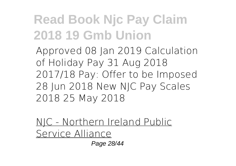Approved 08 Jan 2019 Calculation of Holiday Pay 31 Aug 2018 2017/18 Pay: Offer to be Imposed 28 Jun 2018 New NJC Pay Scales 2018 25 May 2018

NJC - Northern Ireland Public Service Alliance

Page 28/44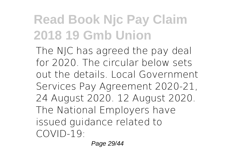The NJC has agreed the pay deal for 2020. The circular below sets out the details. Local Government Services Pay Agreement 2020-21, 24 August 2020. 12 August 2020. The National Employers have issued guidance related to COVID-19:

Page 29/44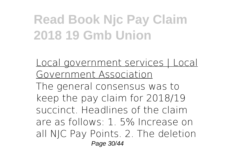Local government services | Local Government Association The general consensus was to keep the pay claim for 2018/19 succinct. Headlines of the claim are as follows: 1. 5% Increase on all NJC Pay Points. 2. The deletion Page 30/44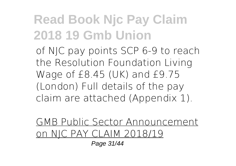of NJC pay points SCP 6-9 to reach the Resolution Foundation Living Wage of £8.45 (UK) and £9.75 (London) Full details of the pay claim are attached (Appendix 1).

#### GMB Public Sector Announcement on NJC PAY CLAIM 2018/19

Page 31/44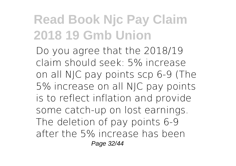Do you agree that the 2018/19 claim should seek: 5% increase on all NJC pay points scp 6-9 (The 5% increase on all NJC pay points is to reflect inflation and provide some catch-up on lost earnings. The deletion of pay points 6-9 after the 5% increase has been Page 32/44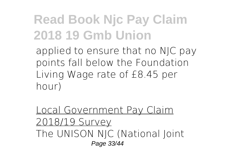applied to ensure that no NJC pay points fall below the Foundation Living Wage rate of £8.45 per hour)

Local Government Pay Claim 2018/19 Survey The UNISON NJC (National Joint Page 33/44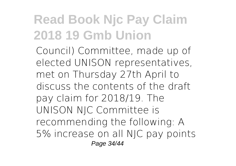Council) Committee, made up of elected UNISON representatives, met on Thursday 27th April to discuss the contents of the draft pay claim for 2018/19. The UNISON NJC Committee is recommending the following: A 5% increase on all NJC pay points Page 34/44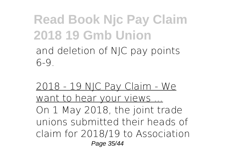#### **Read Book Njc Pay Claim 2018 19 Gmb Union** and deletion of NJC pay points 6-9.

2018 - 19 NJC Pay Claim - We want to hear your views ... On 1 May 2018, the joint trade unions submitted their heads of claim for 2018/19 to Association Page 35/44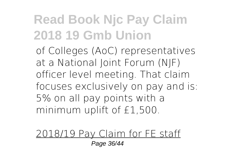of Colleges (AoC) representatives at a National Joint Forum (NJF) officer level meeting. That claim focuses exclusively on pay and is: 5% on all pay points with a minimum uplift of £1,500.

2018/19 Pay Claim for FE staff Page 36/44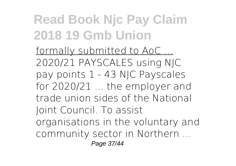formally submitted to AoC ... 2020/21 PAYSCALES using NJC pay points 1 - 43 NJC Payscales for 2020/21 ... the employer and trade union sides of the National Joint Council. To assist organisations in the voluntary and community sector in Northern ... Page 37/44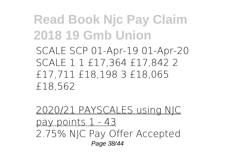SCALE SCP 01-Apr-19 01-Apr-20 SCALE 1 1 £17,364 £17,842 2 £17,711 £18,198 3 £18,065 £18,562

2020/21 PAYSCALES using NJC pay points 1 - 43 2.75% NJC Pay Offer Accepted Page 38/44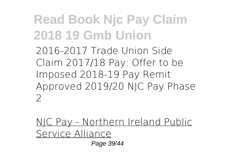2016-2017 Trade Union Side Claim 2017/18 Pay: Offer to be Imposed 2018-19 Pay Remit Approved 2019/20 NJC Pay Phase  $\mathcal{D}$ 

NJC Pay - Northern Ireland Public Service Alliance

Page 39/44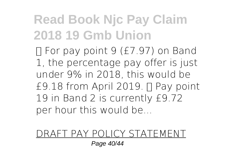For pay point 9 (£7.97) on Band 1, the percentage pay offer is just under 9% in 2018, this would be £9.18 from April 2019. Pay point 19 in Band 2 is currently £9.72 per hour this would be...

#### DRAFT PAY POLICY STATEMENT

Page 40/44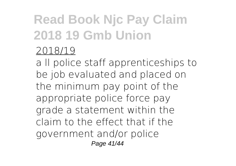#### 2018/19

a ll police staff apprenticeships to be job evaluated and placed on the minimum pay point of the appropriate police force pay grade a statement within the claim to the effect that if the government and/or police Page 41/44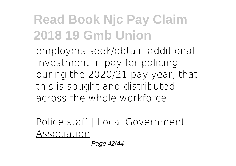employers seek/obtain additional investment in pay for policing during the 2020/21 pay year, that this is sought and distributed across the whole workforce.

Police staff | Local Government Association

Page 42/44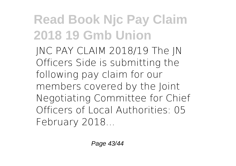JNC PAY CLAIM 2018/19 The JN Officers Side is submitting the following pay claim for our members covered by the Joint Negotiating Committee for Chief Officers of Local Authorities: 05 February 2018...